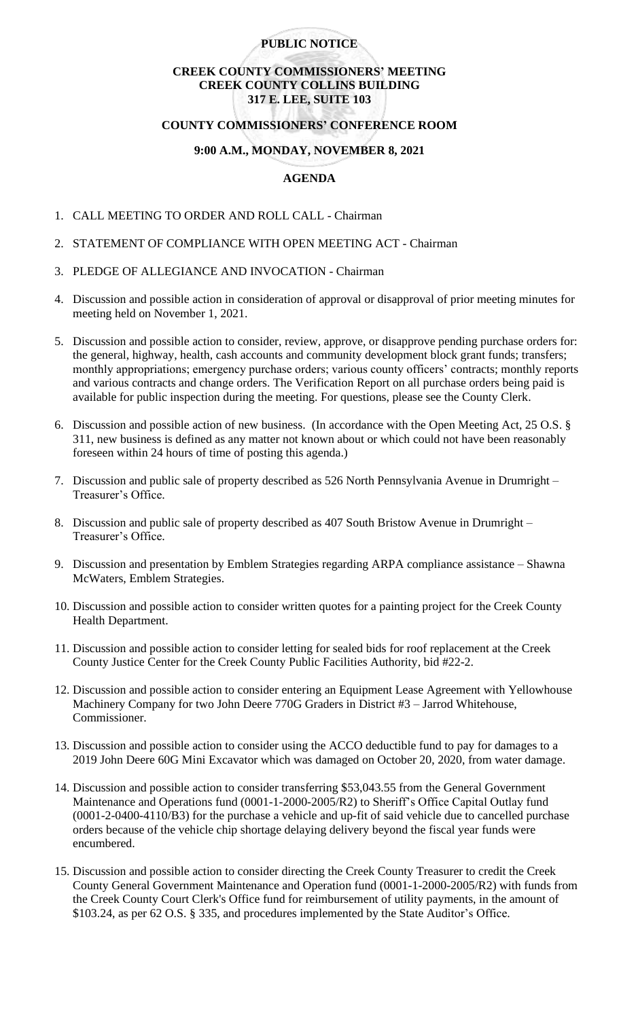## **PUBLIC NOTICE**

# **CREEK COUNTY COMMISSIONERS' MEETING CREEK COUNTY COLLINS BUILDING 317 E. LEE, SUITE 103**

# **COUNTY COMMISSIONERS' CONFERENCE ROOM**

#### **9:00 A.M., MONDAY, NOVEMBER 8, 2021**

## **AGENDA**

- 1. CALL MEETING TO ORDER AND ROLL CALL Chairman
- 2. STATEMENT OF COMPLIANCE WITH OPEN MEETING ACT Chairman
- 3. PLEDGE OF ALLEGIANCE AND INVOCATION Chairman
- 4. Discussion and possible action in consideration of approval or disapproval of prior meeting minutes for meeting held on November 1, 2021.
- 5. Discussion and possible action to consider, review, approve, or disapprove pending purchase orders for: the general, highway, health, cash accounts and community development block grant funds; transfers; monthly appropriations; emergency purchase orders; various county officers' contracts; monthly reports and various contracts and change orders. The Verification Report on all purchase orders being paid is available for public inspection during the meeting. For questions, please see the County Clerk.
- 6. Discussion and possible action of new business. (In accordance with the Open Meeting Act, 25 O.S. § 311, new business is defined as any matter not known about or which could not have been reasonably foreseen within 24 hours of time of posting this agenda.)
- 7. Discussion and public sale of property described as 526 North Pennsylvania Avenue in Drumright Treasurer's Office.
- 8. Discussion and public sale of property described as 407 South Bristow Avenue in Drumright Treasurer's Office.
- 9. Discussion and presentation by Emblem Strategies regarding ARPA compliance assistance Shawna McWaters, Emblem Strategies.
- 10. Discussion and possible action to consider written quotes for a painting project for the Creek County Health Department.
- 11. Discussion and possible action to consider letting for sealed bids for roof replacement at the Creek County Justice Center for the Creek County Public Facilities Authority, bid #22-2.
- 12. Discussion and possible action to consider entering an Equipment Lease Agreement with Yellowhouse Machinery Company for two John Deere 770G Graders in District #3 – Jarrod Whitehouse, Commissioner.
- 13. Discussion and possible action to consider using the ACCO deductible fund to pay for damages to a 2019 John Deere 60G Mini Excavator which was damaged on October 20, 2020, from water damage.
- 14. Discussion and possible action to consider transferring \$53,043.55 from the General Government Maintenance and Operations fund (0001-1-2000-2005/R2) to Sheriff's Office Capital Outlay fund (0001-2-0400-4110/B3) for the purchase a vehicle and up-fit of said vehicle due to cancelled purchase orders because of the vehicle chip shortage delaying delivery beyond the fiscal year funds were encumbered.
- 15. Discussion and possible action to consider directing the Creek County Treasurer to credit the Creek County General Government Maintenance and Operation fund (0001-1-2000-2005/R2) with funds from the Creek County Court Clerk's Office fund for reimbursement of utility payments, in the amount of \$103.24, as per 62 O.S. § 335, and procedures implemented by the State Auditor's Office.